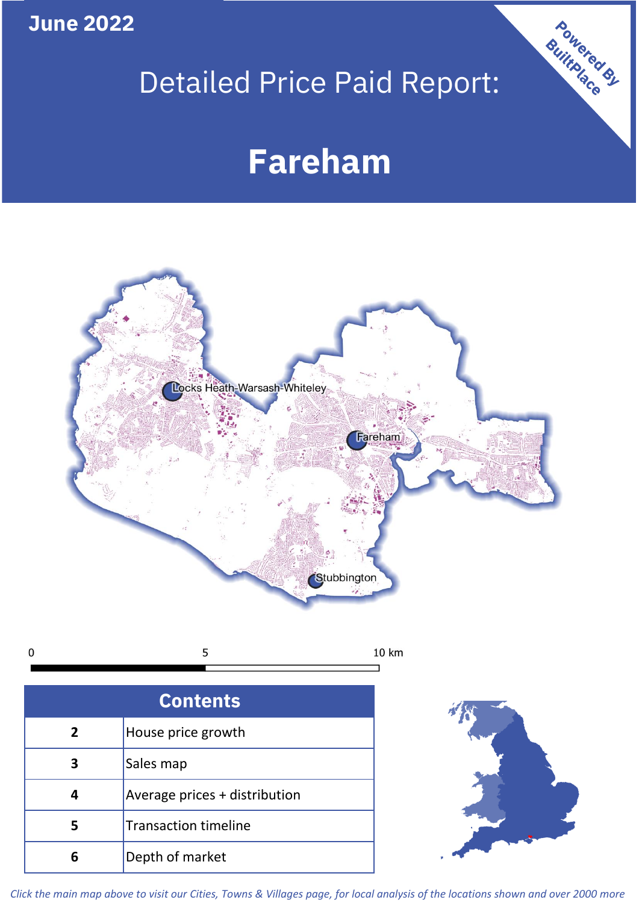**June 2022**

# Detailed Price Paid Report:

# **Fareham**



5 10 km  $\mathbf 0$ 

| <b>Contents</b> |                               |  |  |
|-----------------|-------------------------------|--|--|
| $\overline{2}$  | House price growth            |  |  |
|                 | Sales map                     |  |  |
|                 | Average prices + distribution |  |  |
| 5               | <b>Transaction timeline</b>   |  |  |
|                 | Depth of market               |  |  |



Powered By

*Click the main map above to visit our Cities, Towns & Villages page, for local analysis of the locations shown and over 2000 more*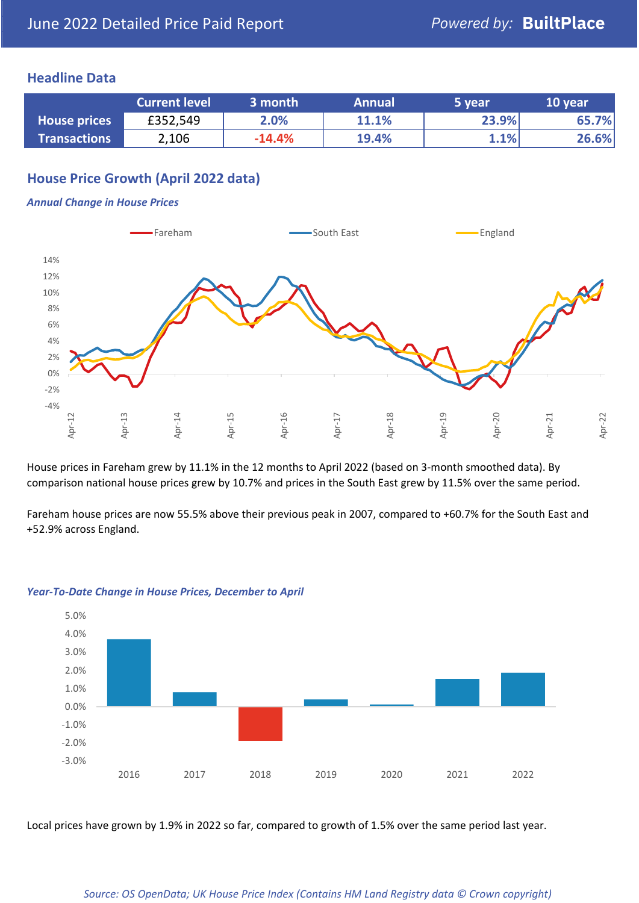## **Headline Data**

|                     | <b>Current level</b> | 3 month  | <b>Annual</b> | 5 year | 10 year |
|---------------------|----------------------|----------|---------------|--------|---------|
| <b>House prices</b> | £352,549             | 2.0%     | 11.1%         | 23.9%  | 65.7%   |
| <b>Transactions</b> | 2,106                | $-14.4%$ | 19.4%         | 1.1%   | 26.6%   |

## **House Price Growth (April 2022 data)**

#### *Annual Change in House Prices*



House prices in Fareham grew by 11.1% in the 12 months to April 2022 (based on 3-month smoothed data). By comparison national house prices grew by 10.7% and prices in the South East grew by 11.5% over the same period.

Fareham house prices are now 55.5% above their previous peak in 2007, compared to +60.7% for the South East and +52.9% across England.



#### *Year-To-Date Change in House Prices, December to April*

Local prices have grown by 1.9% in 2022 so far, compared to growth of 1.5% over the same period last year.

#### *Source: OS OpenData; UK House Price Index (Contains HM Land Registry data © Crown copyright)*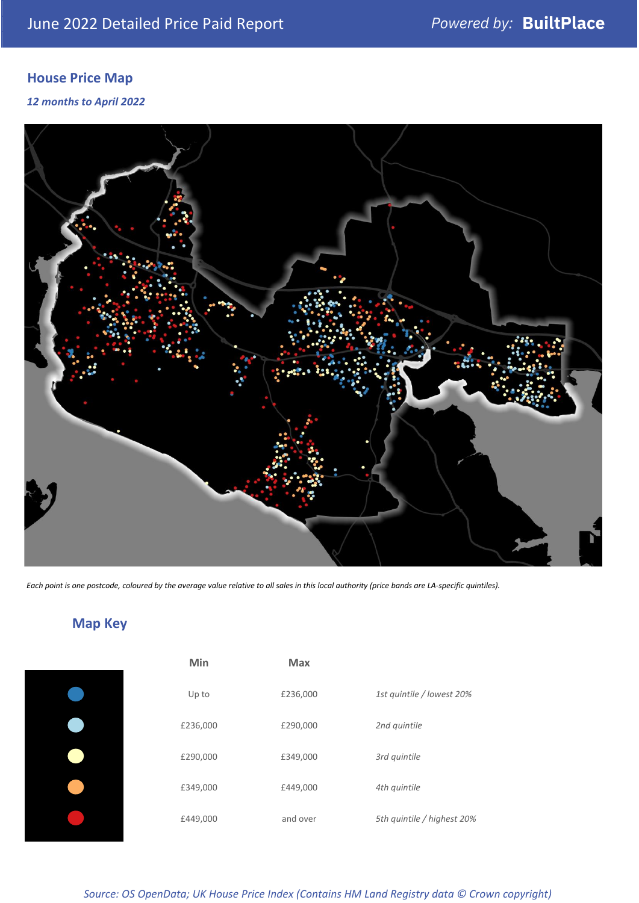# **House Price Map**

*12 months to April 2022*



*Each point is one postcode, coloured by the average value relative to all sales in this local authority (price bands are LA-specific quintiles).*

**Map Key**

| Min      | <b>Max</b> |                            |
|----------|------------|----------------------------|
| Up to    | £236,000   | 1st quintile / lowest 20%  |
| £236,000 | £290,000   | 2nd quintile               |
| £290,000 | £349,000   | 3rd quintile               |
| £349,000 | £449,000   | 4th quintile               |
| £449,000 | and over   | 5th quintile / highest 20% |

*Source: OS OpenData; UK House Price Index (Contains HM Land Registry data © Crown copyright)*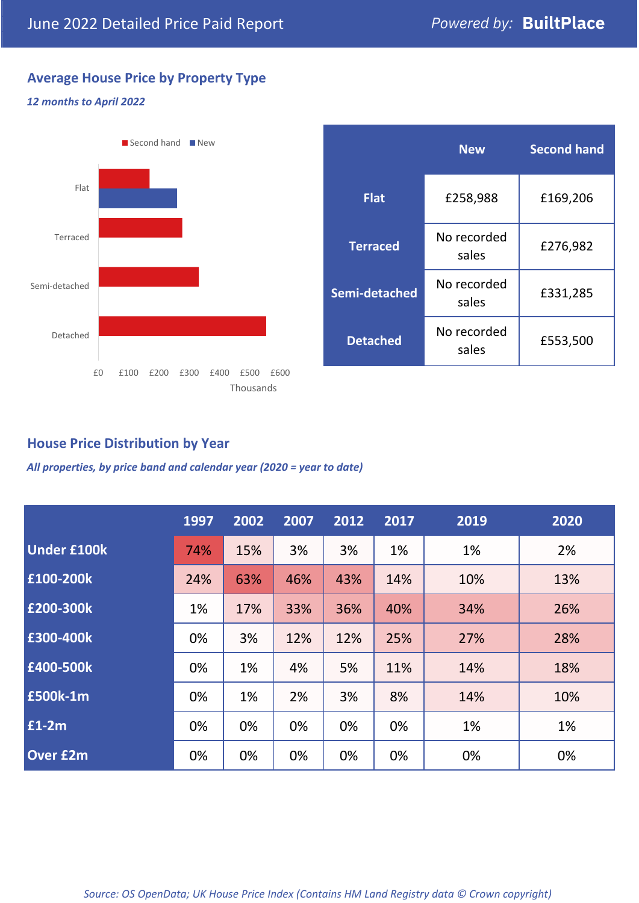## **Average House Price by Property Type**

### *12 months to April 2022*



|                 | <b>New</b>           | <b>Second hand</b> |  |  |
|-----------------|----------------------|--------------------|--|--|
| <b>Flat</b>     | £258,988             | £169,206           |  |  |
| <b>Terraced</b> | No recorded<br>sales | £276,982           |  |  |
| Semi-detached   | No recorded<br>sales | £331,285           |  |  |
| <b>Detached</b> | No recorded<br>sales | £553,500           |  |  |

## **House Price Distribution by Year**

*All properties, by price band and calendar year (2020 = year to date)*

|                    | 1997 | 2002 | 2007 | 2012 | 2017 | 2019 | 2020 |
|--------------------|------|------|------|------|------|------|------|
| <b>Under £100k</b> | 74%  | 15%  | 3%   | 3%   | 1%   | 1%   | 2%   |
| £100-200k          | 24%  | 63%  | 46%  | 43%  | 14%  | 10%  | 13%  |
| E200-300k          | 1%   | 17%  | 33%  | 36%  | 40%  | 34%  | 26%  |
| £300-400k          | 0%   | 3%   | 12%  | 12%  | 25%  | 27%  | 28%  |
| £400-500k          | 0%   | 1%   | 4%   | 5%   | 11%  | 14%  | 18%  |
| <b>£500k-1m</b>    | 0%   | 1%   | 2%   | 3%   | 8%   | 14%  | 10%  |
| £1-2m              | 0%   | 0%   | 0%   | 0%   | 0%   | 1%   | 1%   |
| <b>Over £2m</b>    | 0%   | 0%   | 0%   | 0%   | 0%   | 0%   | 0%   |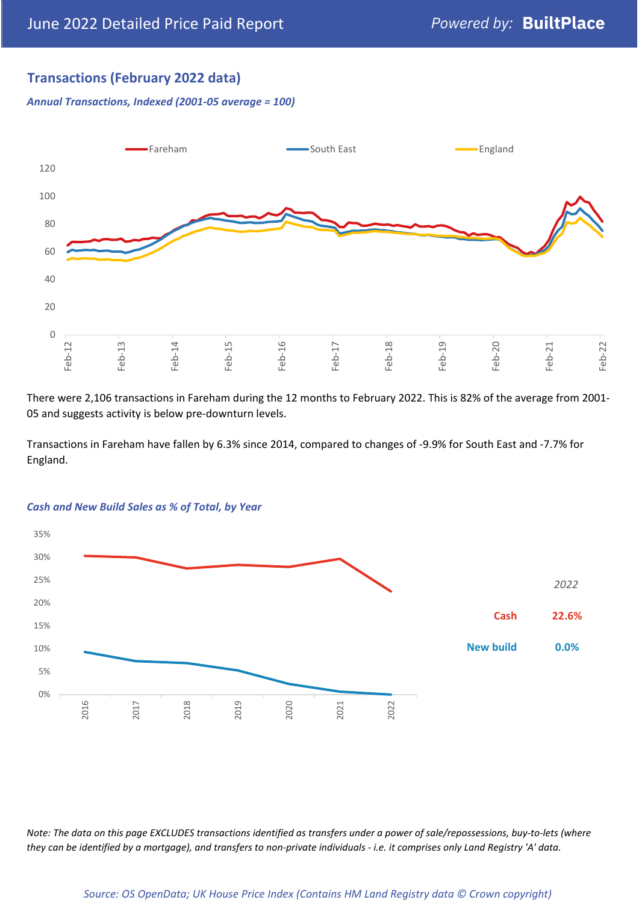## **Transactions (February 2022 data)**

*Annual Transactions, Indexed (2001-05 average = 100)*



There were 2,106 transactions in Fareham during the 12 months to February 2022. This is 82% of the average from 2001- 05 and suggests activity is below pre-downturn levels.

Transactions in Fareham have fallen by 6.3% since 2014, compared to changes of -9.9% for South East and -7.7% for England.



#### *Cash and New Build Sales as % of Total, by Year*

*Note: The data on this page EXCLUDES transactions identified as transfers under a power of sale/repossessions, buy-to-lets (where they can be identified by a mortgage), and transfers to non-private individuals - i.e. it comprises only Land Registry 'A' data.*